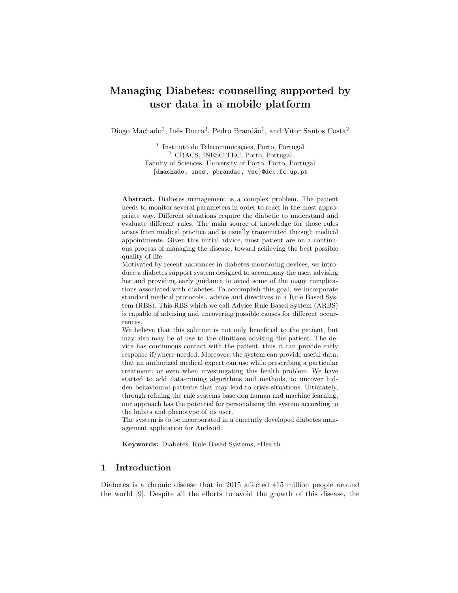# Managing Diabetes: counselling supported by user data in a mobile platform

Diogo Machado<sup>1</sup>, Inês Dutra<sup>2</sup>, Pedro Brandão<sup>1</sup>, and Vítor Santos Costa<sup>2</sup>

<sup>1</sup> Instituto de Telecomunicações, Porto, Portugal <sup>2</sup> CRACS, INESC-TEC, Porto, Portugal Faculty of Sciences, University of Porto, Porto, Portugal {dmachado, ines, pbrandao, vsc}@dcc.fc.up.pt

Abstract. Diabetes management is a complex problem. The patient needs to monitor several parameters in order to react in the most appropriate way. Different situations require the diabetic to understand and evaluate different rules. The main source of knowledge for those rules arises from medical practice and is usually transmitted through medical appointments. Given this initial advice, most patient are on a continuous process of managing the disease, toward achieving the best possible quality of life.

Motivated by recent aadvances in diabetes monitoring devices, we introduce a diabetes support system designed to accompany the user, advising her and providing early guidance to avoid some of the many complications associated with diabetes. To accomplish this goal, we incorporate standard medical protocols , advice and directives in a Rule Based System (RBS). This RBS which we call Advice Rule Based System (ARBS) is capable of advising and uncovering possible causes for different occurrences.

We believe that this solution is not only beneficial to the patient, but may also may be of use to the clinitians advising the patient. The device has continuous contact with the patient, thus it can provide early response if/where needed, Moreover, the system can provide useful data, that an authorized medical expert can use while prescribing a particular treatment, or even when investingating this health problem. We have started to add data-mining algorithms and methods, to uncover hidden behavioural patterns that may lead to crisis situations. Ultimately, through refining the rule systems base don human and machine learning, our approach has the potential for personalising the system according to the habits and phenotype of its user.

The system is to be incorporated in a currently developed diabetes management application for Android.

Keywords: Diabetes, Rule-Based Systems, eHealth

# 1 Introduction

Diabetes is a chronic disease that in 2015 affected 415 million people around the world [9]. Despite all the efforts to avoid the growth of this disease, the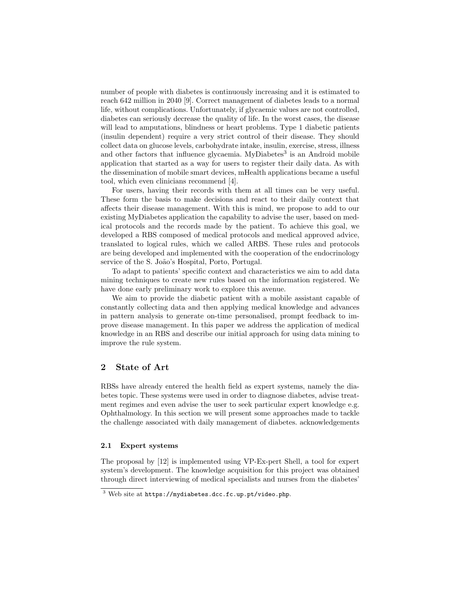number of people with diabetes is continuously increasing and it is estimated to reach 642 million in 2040 [9]. Correct management of diabetes leads to a normal life, without complications. Unfortunately, if glycaemic values are not controlled, diabetes can seriously decrease the quality of life. In the worst cases, the disease will lead to amputations, blindness or heart problems. Type 1 diabetic patients (insulin dependent) require a very strict control of their disease. They should collect data on glucose levels, carbohydrate intake, insulin, exercise, stress, illness and other factors that influence glycaemia. MyDiabetes<sup>3</sup> is an Android mobile application that started as a way for users to register their daily data. As with the dissemination of mobile smart devices, mHealth applications became a useful tool, which even clinicians recommend [4].

For users, having their records with them at all times can be very useful. These form the basis to make decisions and react to their daily context that affects their disease management. With this is mind, we propose to add to our existing MyDiabetes application the capability to advise the user, based on medical protocols and the records made by the patient. To achieve this goal, we developed a RBS composed of medical protocols and medical approved advice, translated to logical rules, which we called ARBS. These rules and protocols are being developed and implemented with the cooperation of the endocrinology service of the S. João's Hospital, Porto, Portugal.

To adapt to patients' specific context and characteristics we aim to add data mining techniques to create new rules based on the information registered. We have done early preliminary work to explore this avenue.

We aim to provide the diabetic patient with a mobile assistant capable of constantly collecting data and then applying medical knowledge and advances in pattern analysis to generate on-time personalised, prompt feedback to improve disease management. In this paper we address the application of medical knowledge in an RBS and describe our initial approach for using data mining to improve the rule system.

# 2 State of Art

RBSs have already entered the health field as expert systems, namely the diabetes topic. These systems were used in order to diagnose diabetes, advise treatment regimes and even advise the user to seek particular expert knowledge e.g. Ophthalmology. In this section we will present some approaches made to tackle the challenge associated with daily management of diabetes. acknowledgements

#### 2.1 Expert systems

The proposal by [12] is implemented using VP-Ex-pert Shell, a tool for expert system's development. The knowledge acquisition for this project was obtained through direct interviewing of medical specialists and nurses from the diabetes'

<sup>3</sup> Web site at https://mydiabetes.dcc.fc.up.pt/video.php.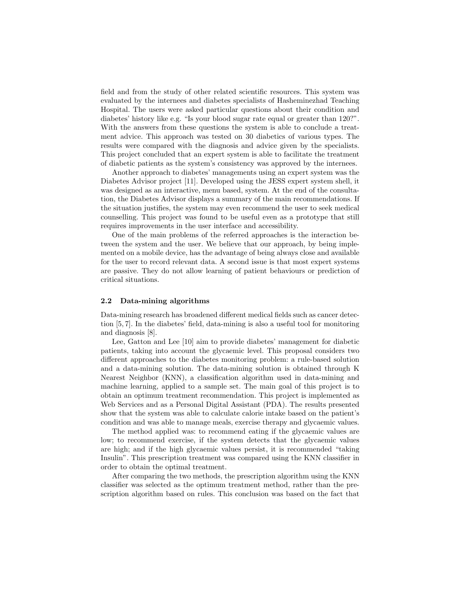field and from the study of other related scientific resources. This system was evaluated by the internees and diabetes specialists of Hasheminezhad Teaching Hospital. The users were asked particular questions about their condition and diabetes' history like e.g. "Is your blood sugar rate equal or greater than 120?". With the answers from these questions the system is able to conclude a treatment advice. This approach was tested on 30 diabetics of various types. The results were compared with the diagnosis and advice given by the specialists. This project concluded that an expert system is able to facilitate the treatment of diabetic patients as the system's consistency was approved by the internees.

Another approach to diabetes' managements using an expert system was the Diabetes Advisor project [11]. Developed using the JESS expert system shell, it was designed as an interactive, menu based, system. At the end of the consultation, the Diabetes Advisor displays a summary of the main recommendations. If the situation justifies, the system may even recommend the user to seek medical counselling. This project was found to be useful even as a prototype that still requires improvements in the user interface and accessibility.

One of the main problems of the referred approaches is the interaction between the system and the user. We believe that our approach, by being implemented on a mobile device, has the advantage of being always close and available for the user to record relevant data. A second issue is that most expert systems are passive. They do not allow learning of patient behaviours or prediction of critical situations.

## 2.2 Data-mining algorithms

Data-mining research has broadened different medical fields such as cancer detection [5, 7]. In the diabetes' field, data-mining is also a useful tool for monitoring and diagnosis [8].

Lee, Gatton and Lee [10] aim to provide diabetes' management for diabetic patients, taking into account the glycaemic level. This proposal considers two different approaches to the diabetes monitoring problem: a rule-based solution and a data-mining solution. The data-mining solution is obtained through K Nearest Neighbor (KNN), a classification algorithm used in data-mining and machine learning, applied to a sample set. The main goal of this project is to obtain an optimum treatment recommendation. This project is implemented as Web Services and as a Personal Digital Assistant (PDA). The results presented show that the system was able to calculate calorie intake based on the patient's condition and was able to manage meals, exercise therapy and glycaemic values.

The method applied was: to recommend eating if the glycaemic values are low; to recommend exercise, if the system detects that the glycaemic values are high; and if the high glycaemic values persist, it is recommended "taking Insulin". This prescription treatment was compared using the KNN classifier in order to obtain the optimal treatment.

After comparing the two methods, the prescription algorithm using the KNN classifier was selected as the optimum treatment method, rather than the prescription algorithm based on rules. This conclusion was based on the fact that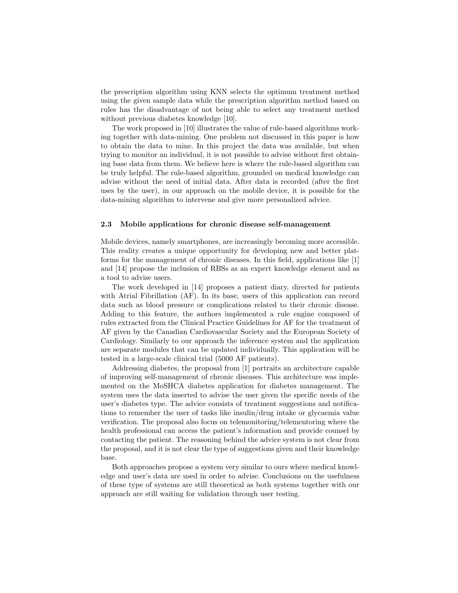the prescription algorithm using KNN selects the optimum treatment method using the given sample data while the prescription algorithm method based on rules has the disadvantage of not being able to select any treatment method without previous diabetes knowledge [10].

The work proposed in [10] illustrates the value of rule-based algorithms working together with data-mining. One problem not discussed in this paper is how to obtain the data to mine. In this project the data was available, but when trying to monitor an individual, it is not possible to advise without first obtaining base data from them. We believe here is where the rule-based algorithm can be truly helpful. The rule-based algorithm, grounded on medical knowledge can advise without the need of initial data. After data is recorded (after the first uses by the user), in our approach on the mobile device, it is possible for the data-mining algorithm to intervene and give more personalized advice.

#### 2.3 Mobile applications for chronic disease self-management

Mobile devices, namely smartphones, are increasingly becoming more accessible. This reality creates a unique opportunity for developing new and better platforms for the management of chronic diseases. In this field, applications like [1] and [14] propose the inclusion of RBSs as an expert knowledge element and as a tool to advise users.

The work developed in [14] proposes a patient diary, directed for patients with Atrial Fibrillation (AF). In its base, users of this application can record data such as blood pressure or complications related to their chronic disease. Adding to this feature, the authors implemented a rule engine composed of rules extracted from the Clinical Practice Guidelines for AF for the treatment of AF given by the Canadian Cardiovascular Society and the European Society of Cardiology. Similarly to our approach the inference system and the application are separate modules that can be updated individually. This application will be tested in a large-scale clinical trial (5000 AF patients).

Addressing diabetes, the proposal from [1] portraits an architecture capable of improving self-management of chronic diseases. This architecture was implemented on the MoSHCA diabetes application for diabetes management. The system uses the data inserted to advise the user given the specific needs of the user's diabetes type. The advice consists of treatment suggestions and notifications to remember the user of tasks like insulin/drug intake or glycaemia value verification. The proposal also focus on telemonitoring/telementoring where the health professional can access the patient's information and provide counsel by contacting the patient. The reasoning behind the advice system is not clear from the proposal, and it is not clear the type of suggestions given and their knowledge base.

Both approaches propose a system very similar to ours where medical knowledge and user's data are used in order to advise. Conclusions on the usefulness of these type of systems are still theoretical as both systems together with our approach are still waiting for validation through user testing.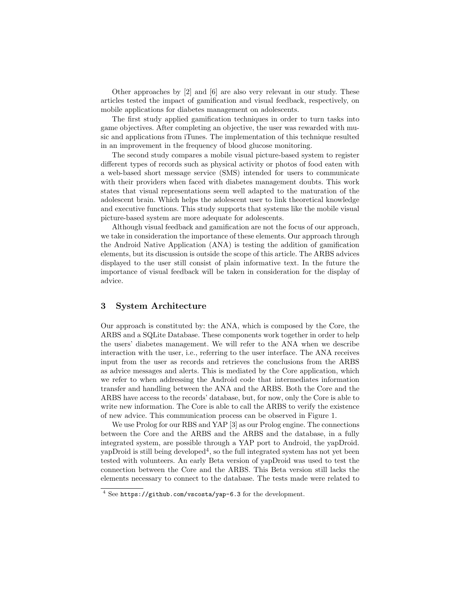Other approaches by [2] and [6] are also very relevant in our study. These articles tested the impact of gamification and visual feedback, respectively, on mobile applications for diabetes management on adolescents.

The first study applied gamification techniques in order to turn tasks into game objectives. After completing an objective, the user was rewarded with music and applications from iTunes. The implementation of this technique resulted in an improvement in the frequency of blood glucose monitoring.

The second study compares a mobile visual picture-based system to register different types of records such as physical activity or photos of food eaten with a web-based short message service (SMS) intended for users to communicate with their providers when faced with diabetes management doubts. This work states that visual representations seem well adapted to the maturation of the adolescent brain. Which helps the adolescent user to link theoretical knowledge and executive functions. This study supports that systems like the mobile visual picture-based system are more adequate for adolescents.

Although visual feedback and gamification are not the focus of our approach, we take in consideration the importance of these elements. Our approach through the Android Native Application (ANA) is testing the addition of gamification elements, but its discussion is outside the scope of this article. The ARBS advices displayed to the user still consist of plain informative text. In the future the importance of visual feedback will be taken in consideration for the display of advice.

## 3 System Architecture

Our approach is constituted by: the ANA, which is composed by the Core, the ARBS and a SQLite Database. These components work together in order to help the users' diabetes management. We will refer to the ANA when we describe interaction with the user, i.e., referring to the user interface. The ANA receives input from the user as records and retrieves the conclusions from the ARBS as advice messages and alerts. This is mediated by the Core application, which we refer to when addressing the Android code that intermediates information transfer and handling between the ANA and the ARBS. Both the Core and the ARBS have access to the records' database, but, for now, only the Core is able to write new information. The Core is able to call the ARBS to verify the existence of new advice. This communication process can be observed in Figure 1.

We use Prolog for our RBS and YAP [3] as our Prolog engine. The connections between the Core and the ARBS and the ARBS and the database, in a fully integrated system, are possible through a YAP port to Android, the yapDroid.  $yapDroid$  is still being developed<sup>4</sup>, so the full integrated system has not yet been tested with volunteers. An early Beta version of yapDroid was used to test the connection between the Core and the ARBS. This Beta version still lacks the elements necessary to connect to the database. The tests made were related to

<sup>4</sup> See https://github.com/vscosta/yap-6.3 for the development.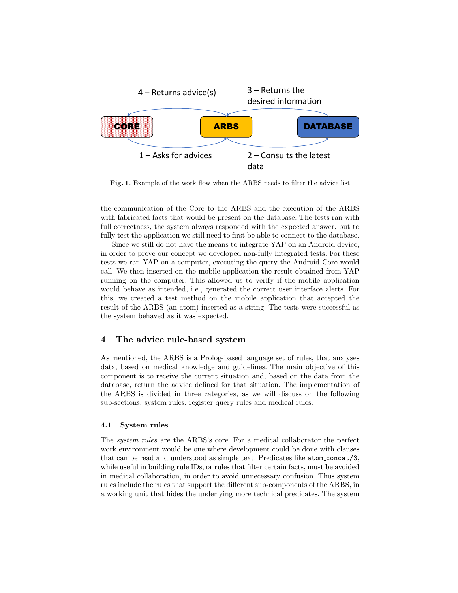

Fig. 1. Example of the work flow when the ARBS needs to filter the advice list

the communication of the Core to the ARBS and the execution of the ARBS with fabricated facts that would be present on the database. The tests ran with full correctness, the system always responded with the expected answer, but to fully test the application we still need to first be able to connect to the database.

Since we still do not have the means to integrate YAP on an Android device, in order to prove our concept we developed non-fully integrated tests. For these tests we ran YAP on a computer, executing the query the Android Core would call. We then inserted on the mobile application the result obtained from YAP running on the computer. This allowed us to verify if the mobile application would behave as intended, i.e., generated the correct user interface alerts. For this, we created a test method on the mobile application that accepted the result of the ARBS (an atom) inserted as a string. The tests were successful as the system behaved as it was expected.

## 4 The advice rule-based system

As mentioned, the ARBS is a Prolog-based language set of rules, that analyses data, based on medical knowledge and guidelines. The main objective of this component is to receive the current situation and, based on the data from the database, return the advice defined for that situation. The implementation of the ARBS is divided in three categories, as we will discuss on the following sub-sections: system rules, register query rules and medical rules.

#### 4.1 System rules

The system rules are the ARBS's core. For a medical collaborator the perfect work environment would be one where development could be done with clauses that can be read and understood as simple text. Predicates like atom concat/3, while useful in building rule IDs, or rules that filter certain facts, must be avoided in medical collaboration, in order to avoid unnecessary confusion. Thus system rules include the rules that support the different sub-components of the ARBS, in a working unit that hides the underlying more technical predicates. The system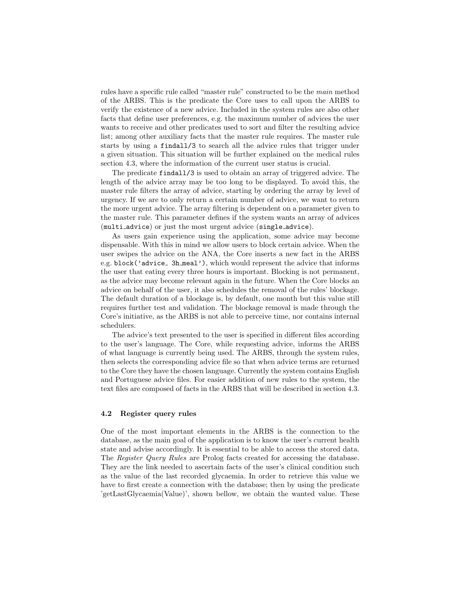rules have a specific rule called "master rule" constructed to be the main method of the ARBS. This is the predicate the Core uses to call upon the ARBS to verify the existence of a new advice. Included in the system rules are also other facts that define user preferences, e.g. the maximum number of advices the user wants to receive and other predicates used to sort and filter the resulting advice list; among other auxiliary facts that the master rule requires. The master rule starts by using a findall/3 to search all the advice rules that trigger under a given situation. This situation will be further explained on the medical rules section 4.3, where the information of the current user status is crucial.

The predicate findall/3 is used to obtain an array of triggered advice. The length of the advice array may be too long to be displayed. To avoid this, the master rule filters the array of advice, starting by ordering the array by level of urgency. If we are to only return a certain number of advice, we want to return the more urgent advice. The array filtering is dependent on a parameter given to the master rule. This parameter defines if the system wants an array of advices (multi advice) or just the most urgent advice (single advice).

As users gain experience using the application, some advice may become dispensable. With this in mind we allow users to block certain advice. When the user swipes the advice on the ANA, the Core inserts a new fact in the ARBS e.g. block('advice\_ 3h\_meal'), which would represent the advice that informs the user that eating every three hours is important. Blocking is not permanent, as the advice may become relevant again in the future. When the Core blocks an advice on behalf of the user, it also schedules the removal of the rules' blockage. The default duration of a blockage is, by default, one month but this value still requires further test and validation. The blockage removal is made through the Core's initiative, as the ARBS is not able to perceive time, nor contains internal schedulers.

The advice's text presented to the user is specified in different files according to the user's language. The Core, while requesting advice, informs the ARBS of what language is currently being used. The ARBS, through the system rules, then selects the corresponding advice file so that when advice terms are returned to the Core they have the chosen language. Currently the system contains English and Portuguese advice files. For easier addition of new rules to the system, the text files are composed of facts in the ARBS that will be described in section 4.3.

#### 4.2 Register query rules

One of the most important elements in the ARBS is the connection to the database, as the main goal of the application is to know the user's current health state and advise accordingly. It is essential to be able to access the stored data. The Register Query Rules are Prolog facts created for accessing the database. They are the link needed to ascertain facts of the user's clinical condition such as the value of the last recorded glycaemia. In order to retrieve this value we have to first create a connection with the database; then by using the predicate 'getLastGlycaemia(Value)', shown bellow, we obtain the wanted value. These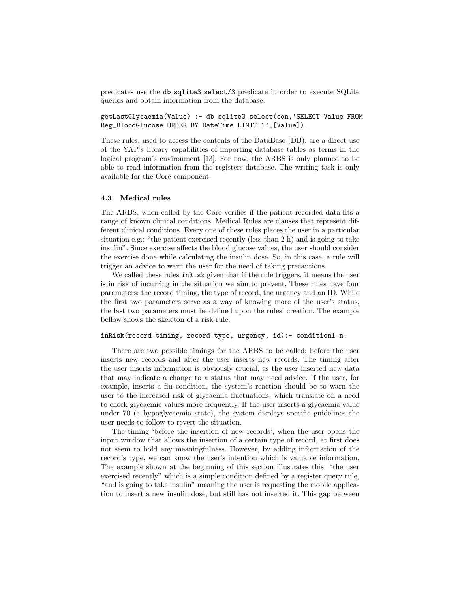predicates use the db sqlite3 select/3 predicate in order to execute SQLite queries and obtain information from the database.

getLastGlycaemia(Value) :- db\_sqlite3\_select(con,'SELECT Value FROM Reg\_BloodGlucose ORDER BY DateTime LIMIT 1',[Value]).

These rules, used to access the contents of the DataBase (DB), are a direct use of the YAP's library capabilities of importing database tables as terms in the logical program's environment [13]. For now, the ARBS is only planned to be able to read information from the registers database. The writing task is only available for the Core component.

## 4.3 Medical rules

The ARBS, when called by the Core verifies if the patient recorded data fits a range of known clinical conditions. Medical Rules are clauses that represent different clinical conditions. Every one of these rules places the user in a particular situation e.g.: "the patient exercised recently (less than 2 h) and is going to take insulin". Since exercise affects the blood glucose values, the user should consider the exercise done while calculating the insulin dose. So, in this case, a rule will trigger an advice to warn the user for the need of taking precautions.

We called these rules in Risk given that if the rule triggers, it means the user is in risk of incurring in the situation we aim to prevent. These rules have four parameters: the record timing, the type of record, the urgency and an ID. While the first two parameters serve as a way of knowing more of the user's status, the last two parameters must be defined upon the rules' creation. The example bellow shows the skeleton of a risk rule.

#### inRisk(record\_timing, record\_type, urgency, id):- condition1\_n.

There are two possible timings for the ARBS to be called: before the user inserts new records and after the user inserts new records. The timing after the user inserts information is obviously crucial, as the user inserted new data that may indicate a change to a status that may need advice. If the user, for example, inserts a flu condition, the system's reaction should be to warn the user to the increased risk of glycaemia fluctuations, which translate on a need to check glycaemic values more frequently. If the user inserts a glycaemia value under 70 (a hypoglycaemia state), the system displays specific guidelines the user needs to follow to revert the situation.

The timing 'before the insertion of new records', when the user opens the input window that allows the insertion of a certain type of record, at first does not seem to hold any meaningfulness. However, by adding information of the record's type, we can know the user's intention which is valuable information. The example shown at the beginning of this section illustrates this, "the user exercised recently" which is a simple condition defined by a register query rule, "and is going to take insulin" meaning the user is requesting the mobile application to insert a new insulin dose, but still has not inserted it. This gap between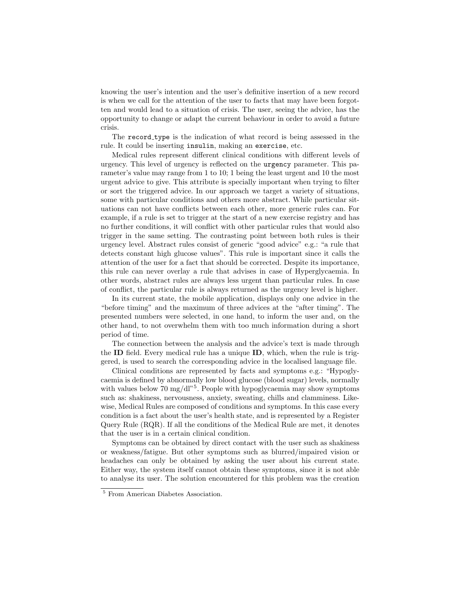knowing the user's intention and the user's definitive insertion of a new record is when we call for the attention of the user to facts that may have been forgotten and would lead to a situation of crisis. The user, seeing the advice, has the opportunity to change or adapt the current behaviour in order to avoid a future crisis.

The record type is the indication of what record is being assessed in the rule. It could be inserting insulin, making an exercise, etc.

Medical rules represent different clinical conditions with different levels of urgency. This level of urgency is reflected on the urgency parameter. This parameter's value may range from 1 to 10; 1 being the least urgent and 10 the most urgent advice to give. This attribute is specially important when trying to filter or sort the triggered advice. In our approach we target a variety of situations, some with particular conditions and others more abstract. While particular situations can not have conflicts between each other, more generic rules can. For example, if a rule is set to trigger at the start of a new exercise registry and has no further conditions, it will conflict with other particular rules that would also trigger in the same setting. The contrasting point between both rules is their urgency level. Abstract rules consist of generic "good advice" e.g.: "a rule that detects constant high glucose values". This rule is important since it calls the attention of the user for a fact that should be corrected. Despite its importance, this rule can never overlay a rule that advises in case of Hyperglycaemia. In other words, abstract rules are always less urgent than particular rules. In case of conflict, the particular rule is always returned as the urgency level is higher.

In its current state, the mobile application, displays only one advice in the "before timing" and the maximum of three advices at the "after timing". The presented numbers were selected, in one hand, to inform the user and, on the other hand, to not overwhelm them with too much information during a short period of time.

The connection between the analysis and the advice's text is made through the ID field. Every medical rule has a unique ID, which, when the rule is triggered, is used to search the corresponding advice in the localised language file.

Clinical conditions are represented by facts and symptoms e.g.: "Hypoglycaemia is defined by abnormally low blood glucose (blood sugar) levels, normally with values below 70 mg/dl"<sup>5</sup>. People with hypoglycaemia may show symptoms such as: shakiness, nervousness, anxiety, sweating, chills and clamminess. Likewise, Medical Rules are composed of conditions and symptoms. In this case every condition is a fact about the user's health state, and is represented by a Register Query Rule (RQR). If all the conditions of the Medical Rule are met, it denotes that the user is in a certain clinical condition.

Symptoms can be obtained by direct contact with the user such as shakiness or weakness/fatigue. But other symptoms such as blurred/impaired vision or headaches can only be obtained by asking the user about his current state. Either way, the system itself cannot obtain these symptoms, since it is not able to analyse its user. The solution encountered for this problem was the creation

<sup>5</sup> From American Diabetes Association.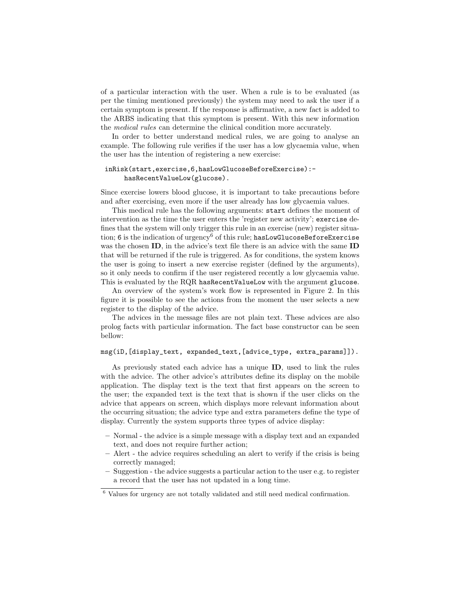of a particular interaction with the user. When a rule is to be evaluated (as per the timing mentioned previously) the system may need to ask the user if a certain symptom is present. If the response is affirmative, a new fact is added to the ARBS indicating that this symptom is present. With this new information the medical rules can determine the clinical condition more accurately.

In order to better understand medical rules, we are going to analyse an example. The following rule verifies if the user has a low glycaemia value, when the user has the intention of registering a new exercise:

## inRisk(start,exercise,6,hasLowGlucoseBeforeExercise): hasRecentValueLow(glucose).

Since exercise lowers blood glucose, it is important to take precautions before and after exercising, even more if the user already has low glycaemia values.

This medical rule has the following arguments: start defines the moment of intervention as the time the user enters the 'register new activity'; exercise defines that the system will only trigger this rule in an exercise (new) register situation; 6 is the indication of urgency<sup>6</sup> of this rule; hasLowGlucoseBeforeExercise was the chosen **ID**, in the advice's text file there is an advice with the same **ID** that will be returned if the rule is triggered. As for conditions, the system knows the user is going to insert a new exercise register (defined by the arguments), so it only needs to confirm if the user registered recently a low glycaemia value. This is evaluated by the RQR hasRecentValueLow with the argument glucose.

An overview of the system's work flow is represented in Figure 2. In this figure it is possible to see the actions from the moment the user selects a new register to the display of the advice.

The advices in the message files are not plain text. These advices are also prolog facts with particular information. The fact base constructor can be seen bellow:

#### msg(iD,[display\_text, expanded\_text,[advice\_type, extra\_params]]).

As previously stated each advice has a unique ID, used to link the rules with the advice. The other advice's attributes define its display on the mobile application. The display text is the text that first appears on the screen to the user; the expanded text is the text that is shown if the user clicks on the advice that appears on screen, which displays more relevant information about the occurring situation; the advice type and extra parameters define the type of display. Currently the system supports three types of advice display:

- Normal the advice is a simple message with a display text and an expanded text, and does not require further action;
- Alert the advice requires scheduling an alert to verify if the crisis is being correctly managed;
- Suggestion the advice suggests a particular action to the user e.g. to register a record that the user has not updated in a long time.

<sup>6</sup> Values for urgency are not totally validated and still need medical confirmation.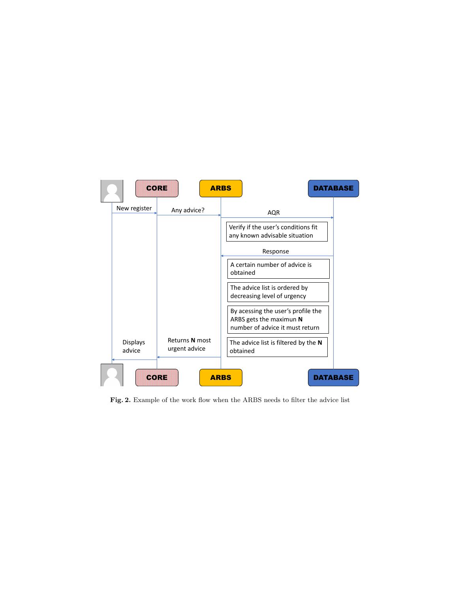

Fig. 2. Example of the work flow when the ARBS needs to filter the advice list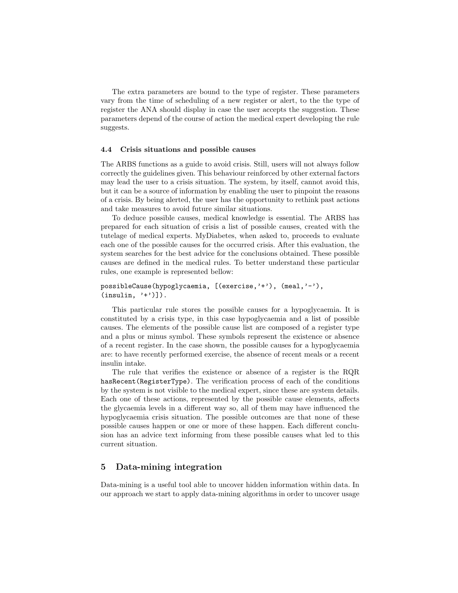The extra parameters are bound to the type of register. These parameters vary from the time of scheduling of a new register or alert, to the the type of register the ANA should display in case the user accepts the suggestion. These parameters depend of the course of action the medical expert developing the rule suggests.

#### 4.4 Crisis situations and possible causes

The ARBS functions as a guide to avoid crisis. Still, users will not always follow correctly the guidelines given. This behaviour reinforced by other external factors may lead the user to a crisis situation. The system, by itself, cannot avoid this, but it can be a source of information by enabling the user to pinpoint the reasons of a crisis. By being alerted, the user has the opportunity to rethink past actions and take measures to avoid future similar situations.

To deduce possible causes, medical knowledge is essential. The ARBS has prepared for each situation of crisis a list of possible causes, created with the tutelage of medical experts. MyDiabetes, when asked to, proceeds to evaluate each one of the possible causes for the occurred crisis. After this evaluation, the system searches for the best advice for the conclusions obtained. These possible causes are defined in the medical rules. To better understand these particular rules, one example is represented bellow:

```
possibleCause(hypoglycaemia, [(exercise,'+'), (meal,'-'),
(insulin, '+')].
```
This particular rule stores the possible causes for a hypoglycaemia. It is constituted by a crisis type, in this case hypoglycaemia and a list of possible causes. The elements of the possible cause list are composed of a register type and a plus or minus symbol. These symbols represent the existence or absence of a recent register. In the case shown, the possible causes for a hypoglycaemia are: to have recently performed exercise, the absence of recent meals or a recent insulin intake.

The rule that verifies the existence or absence of a register is the RQR hasRecent(RegisterType). The verification process of each of the conditions by the system is not visible to the medical expert, since these are system details. Each one of these actions, represented by the possible cause elements, affects the glycaemia levels in a different way so, all of them may have influenced the hypoglycaemia crisis situation. The possible outcomes are that none of these possible causes happen or one or more of these happen. Each different conclusion has an advice text informing from these possible causes what led to this current situation.

# 5 Data-mining integration

Data-mining is a useful tool able to uncover hidden information within data. In our approach we start to apply data-mining algorithms in order to uncover usage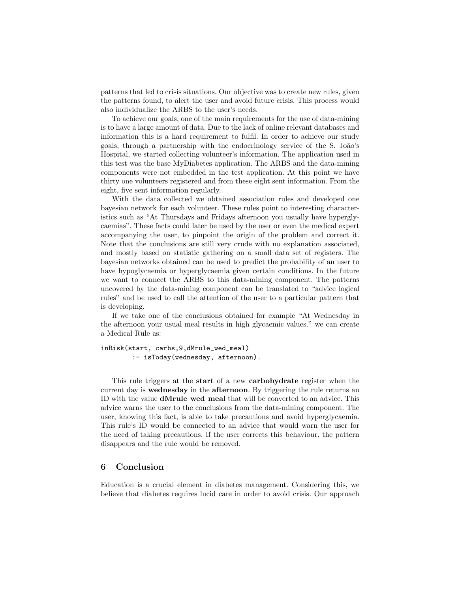patterns that led to crisis situations. Our objective was to create new rules, given the patterns found, to alert the user and avoid future crisis. This process would also individualize the ARBS to the user's needs.

To achieve our goals, one of the main requirements for the use of data-mining is to have a large amount of data. Due to the lack of online relevant databases and information this is a hard requirement to fulfil. In order to achieve our study goals, through a partnership with the endocrinology service of the S. João's Hospital, we started collecting volunteer's information. The application used in this test was the base MyDiabetes application. The ARBS and the data-mining components were not embedded in the test application. At this point we have thirty one volunteers registered and from these eight sent information. From the eight, five sent information regularly.

With the data collected we obtained association rules and developed one bayesian network for each volunteer. These rules point to interesting characteristics such as "At Thursdays and Fridays afternoon you usually have hyperglycaemias". These facts could later be used by the user or even the medical expert accompanying the user, to pinpoint the origin of the problem and correct it. Note that the conclusions are still very crude with no explanation associated, and mostly based on statistic gathering on a small data set of registers. The bayesian networks obtained can be used to predict the probability of an user to have hypoglycaemia or hyperglycaemia given certain conditions. In the future we want to connect the ARBS to this data-mining component. The patterns uncovered by the data-mining component can be translated to "advice logical rules" and be used to call the attention of the user to a particular pattern that is developing.

If we take one of the conclusions obtained for example "At Wednesday in the afternoon your usual meal results in high glycaemic values." we can create a Medical Rule as:

inRisk(start, carbs,9,dMrule\_wed\_meal) :- isToday(wednesday, afternoon).

This rule triggers at the start of a new carbohydrate register when the current day is wednesday in the afternoon. By triggering the rule returns an ID with the value dMrule wed meal that will be converted to an advice. This advice warns the user to the conclusions from the data-mining component. The user, knowing this fact, is able to take precautions and avoid hyperglycaemia. This rule's ID would be connected to an advice that would warn the user for the need of taking precautions. If the user corrects this behaviour, the pattern disappears and the rule would be removed.

# 6 Conclusion

Education is a crucial element in diabetes management. Considering this, we believe that diabetes requires lucid care in order to avoid crisis. Our approach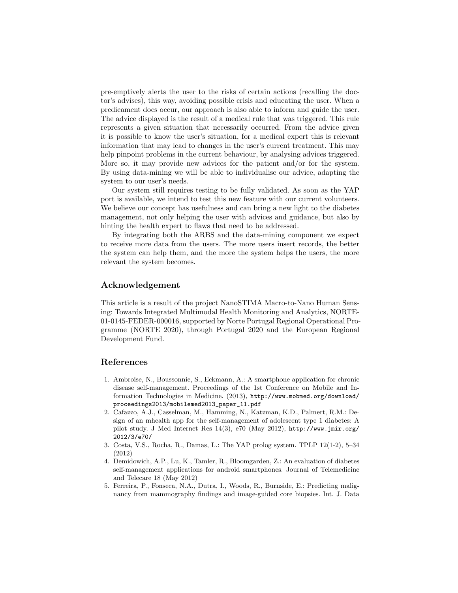pre-emptively alerts the user to the risks of certain actions (recalling the doctor's advises), this way, avoiding possible crisis and educating the user. When a predicament does occur, our approach is also able to inform and guide the user. The advice displayed is the result of a medical rule that was triggered. This rule represents a given situation that necessarily occurred. From the advice given it is possible to know the user's situation, for a medical expert this is relevant information that may lead to changes in the user's current treatment. This may help pinpoint problems in the current behaviour, by analysing advices triggered. More so, it may provide new advices for the patient and/or for the system. By using data-mining we will be able to individualise our advice, adapting the system to our user's needs.

Our system still requires testing to be fully validated. As soon as the YAP port is available, we intend to test this new feature with our current volunteers. We believe our concept has usefulness and can bring a new light to the diabetes management, not only helping the user with advices and guidance, but also by hinting the health expert to flaws that need to be addressed.

By integrating both the ARBS and the data-mining component we expect to receive more data from the users. The more users insert records, the better the system can help them, and the more the system helps the users, the more relevant the system becomes.

# Acknowledgement

This article is a result of the project NanoSTIMA Macro-to-Nano Human Sensing: Towards Integrated Multimodal Health Monitoring and Analytics, NORTE-01-0145-FEDER-000016, supported by Norte Portugal Regional Operational Programme (NORTE 2020), through Portugal 2020 and the European Regional Development Fund.

# References

- 1. Ambroise, N., Boussonnie, S., Eckmann, A.: A smartphone application for chronic disease self-management. Proceedings of the 1st Conference on Mobile and Information Technologies in Medicine. (2013), http://www.mobmed.org/download/ proceedings2013/mobilemed2013\_paper\_11.pdf
- 2. Cafazzo, A.J., Casselman, M., Hamming, N., Katzman, K.D., Palmert, R.M.: Design of an mhealth app for the self-management of adolescent type 1 diabetes: A pilot study. J Med Internet Res 14(3), e70 (May 2012), http://www.jmir.org/ 2012/3/e70/
- 3. Costa, V.S., Rocha, R., Damas, L.: The YAP prolog system. TPLP 12(1-2), 5–34 (2012)
- 4. Demidowich, A.P., Lu, K., Tamler, R., Bloomgarden, Z.: An evaluation of diabetes self-management applications for android smartphones. Journal of Telemedicine and Telecare 18 (May 2012)
- 5. Ferreira, P., Fonseca, N.A., Dutra, I., Woods, R., Burnside, E.: Predicting malignancy from mammography findings and image-guided core biopsies. Int. J. Data